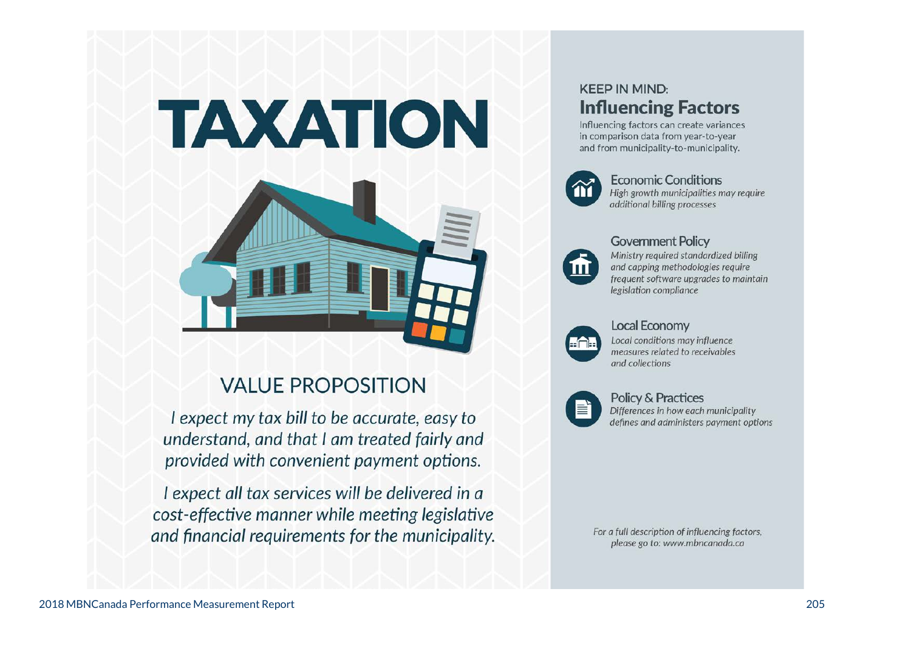# TAXATION



# **VALUE PROPOSITION**

I expect my tax bill to be accurate, easy to understand, and that I am treated fairly and provided with convenient payment options.

I expect all tax services will be delivered in a cost-effective manner while meeting legislative and financial requirements for the municipality.

## **KEEP IN MIND: Influencing Factors**

Influencing factors can create variances in comparison data from year-to-year and from municipality-to-municipality.



**Economic Conditions** High growth municipalities may require additional billing processes



#### **Government Policy**

Ministry required standardized billing and capping methodologies require frequent software upgrades to maintain legislation compliance



#### **Local Economy**

Local conditions may influence measures related to receivables and collections



## **Policy & Practices**

Differences in how each municipality defines and administers payment options

For a full description of influencing factors, please go to: www.mbncanada.ca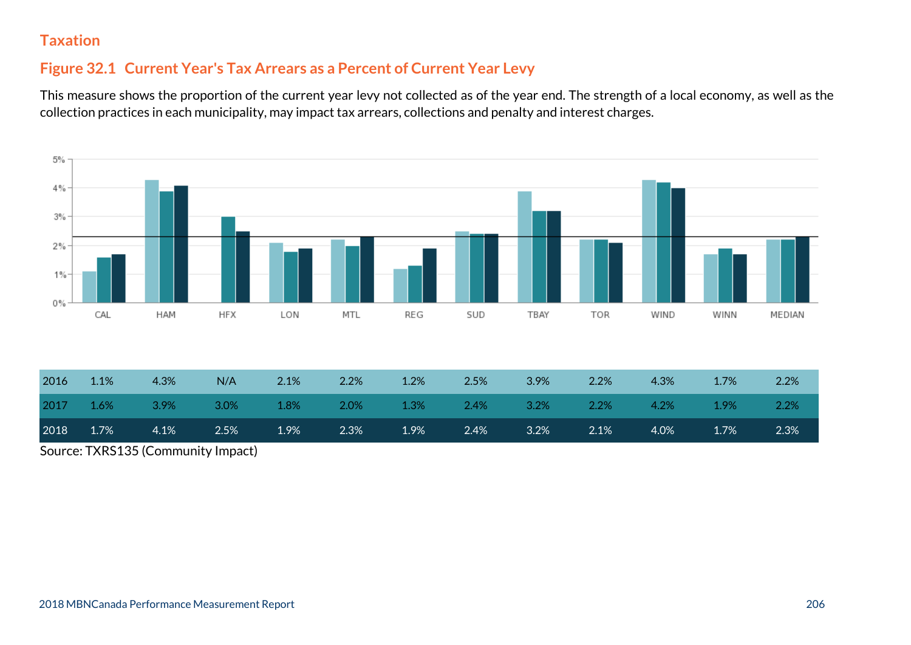#### **Figure 32.1 Current Year's Tax Arrears as a Percent of Current Year Levy**

This measure shows the proportion of the current year levy not collected as of the year end. The strength of a local economy, as well as the collection practices in each municipality, may impact tax arrears, collections and penalty and interest charges.



| 2016 | 1.1% | 4.3%                                                                    | N/A  | 2.1% | 2.2% | 1.2% | 2.5% | 3.9% | 2.2%    | 4.3% | 1.7%    | 2.2% |
|------|------|-------------------------------------------------------------------------|------|------|------|------|------|------|---------|------|---------|------|
| 2017 |      | $1.6\%$ $3.9\%$ $3.0\%$ $1.8\%$ $2.0\%$ $1.3\%$ $2.4\%$ $3.2\%$ $2.2\%$ |      |      |      |      |      |      |         | 4.2% | $1.9\%$ | 2.2% |
| 2018 | 1.7% | $4.1\%$                                                                 | 2.5% | 1.9% | 2.3% | 1.9% | 2.4% | 3.2% | $2.1\%$ | 4.0% | 1.7%    | 2.3% |

Source: TXRS135 (Community Impact)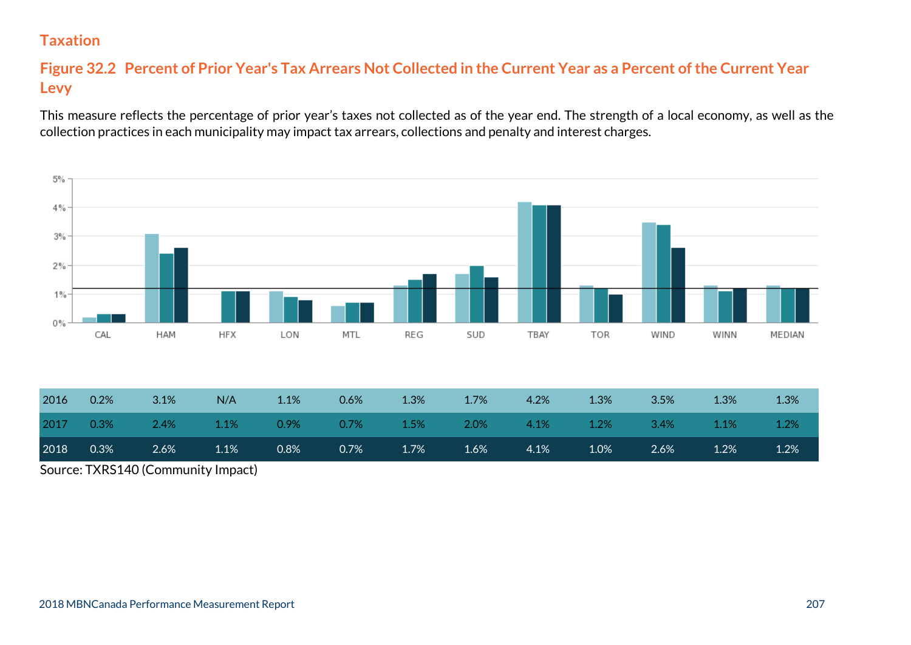#### **Figure 32.2 Percent of Prior Year's Tax Arrears Not Collected in the Current Year as a Percent of the Current Year Levy**

This measure reflects the percentage of prior year's taxes not collected as of the year end. The strength of a local economy, as well as the collection practices in each municipality may impact tax arrears, collections and penalty and interest charges.



Source: TXRS140 (Community Impact)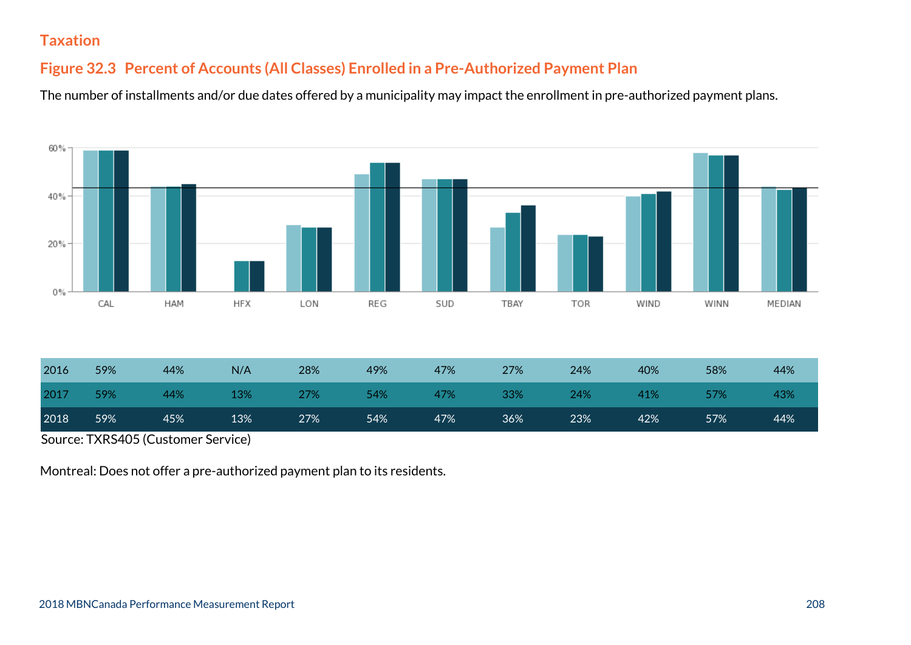#### **Figure 32.3 Percent of Accounts (All Classes) Enrolled in a Pre-Authorized Payment Plan**

The number of installments and/or due dates offered by a municipality may impact the enrollment in pre-authorized payment plans.



| 2018 | 59% | 45% | 13% | 27% | 54% | 47% | 36% | 23% | 42% | 57% | 44% |
|------|-----|-----|-----|-----|-----|-----|-----|-----|-----|-----|-----|
| 2017 | 59% | 44% | 13% | 27% | 54% | 47% | 33% | 24% | 41% | 57% | 43% |
| 2016 | 59% | 44% | N/A | 28% | 49% | 47% | 27% | 24% | 40% | 58% | 44% |

Source: TXRS405 (Customer Service)

Montreal: Does not offer a pre-authorized payment plan to its residents.